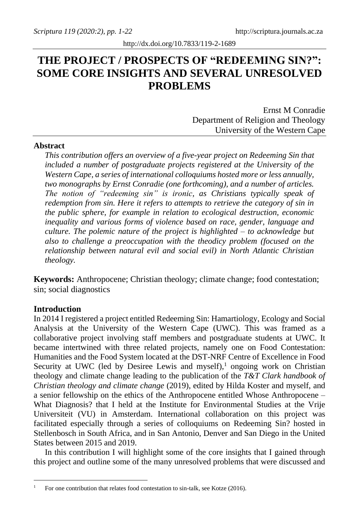# **THE PROJECT / PROSPECTS OF "REDEEMING SIN?": SOME CORE INSIGHTS AND SEVERAL UNRESOLVED PROBLEMS**

Ernst M Conradie Department of Religion and Theology University of the Western Cape

# **Abstract**

*This contribution offers an overview of a five-year project on Redeeming Sin that included a number of postgraduate projects registered at the University of the Western Cape, a series of international colloquiums hosted more or less annually, two monographs by Ernst Conradie (one forthcoming), and a number of articles. The notion of "redeeming sin" is ironic, as Christians typically speak of redemption from sin. Here it refers to attempts to retrieve the category of sin in the public sphere, for example in relation to ecological destruction, economic inequality and various forms of violence based on race, gender, language and culture. The polemic nature of the project is highlighted – to acknowledge but also to challenge a preoccupation with the theodicy problem (focused on the relationship between natural evil and social evil) in North Atlantic Christian theology.*

**Keywords:** Anthropocene; Christian theology; climate change; food contestation; sin; social diagnostics

## **Introduction**

In 2014 I registered a project entitled Redeeming Sin: Hamartiology, Ecology and Social Analysis at the University of the Western Cape (UWC). This was framed as a collaborative project involving staff members and postgraduate students at UWC. It became intertwined with three related projects, namely one on Food Contestation: Humanities and the Food System located at the DST-NRF Centre of Excellence in Food Security at UWC (led by Desiree Lewis and myself),<sup>1</sup> ongoing work on Christian theology and climate change leading to the publication of the *T&T Clark handbook of Christian theology and climate change* (2019), edited by Hilda Koster and myself, and a senior fellowship on the ethics of the Anthropocene entitled Whose Anthropocene – What Diagnosis? that I held at the Institute for Environmental Studies at the Vrije Universiteit (VU) in Amsterdam. International collaboration on this project was facilitated especially through a series of colloquiums on Redeeming Sin? hosted in Stellenbosch in South Africa, and in San Antonio, Denver and San Diego in the United States between 2015 and 2019.

In this contribution I will highlight some of the core insights that I gained through this project and outline some of the many unresolved problems that were discussed and

<sup>&</sup>lt;sup>1</sup> For one contribution that relates food contestation to sin-talk, see Kotze (2016).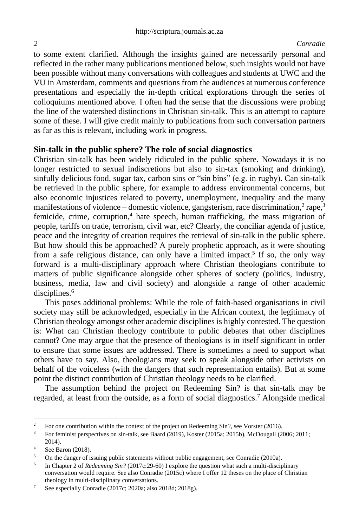to some extent clarified. Although the insights gained are necessarily personal and reflected in the rather many publications mentioned below, such insights would not have been possible without many conversations with colleagues and students at UWC and the VU in Amsterdam, comments and questions from the audiences at numerous conference presentations and especially the in-depth critical explorations through the series of colloquiums mentioned above. I often had the sense that the discussions were probing the line of the watershed distinctions in Christian sin-talk. This is an attempt to capture some of these. I will give credit mainly to publications from such conversation partners as far as this is relevant, including work in progress.

### **Sin-talk in the public sphere? The role of social diagnostics**

Christian sin-talk has been widely ridiculed in the public sphere. Nowadays it is no longer restricted to sexual indiscretions but also to sin-tax (smoking and drinking), sinfully delicious food, sugar tax, carbon sins or "sin bins" (e.g. in rugby). Can sin-talk be retrieved in the public sphere, for example to address environmental concerns, but also economic injustices related to poverty, unemployment, inequality and the many manifestations of violence – domestic violence, gangsterism, race discrimination,<sup>2</sup> rape,<sup>3</sup> femicide, crime, corruption, $4$  hate speech, human trafficking, the mass migration of people, tariffs on trade, terrorism, civil war, etc? Clearly, the conciliar agenda of justice, peace and the integrity of creation requires the retrieval of sin-talk in the public sphere. But how should this be approached? A purely prophetic approach, as it were shouting from a safe religious distance, can only have a limited impact.<sup>5</sup> If so, the only way forward is a multi-disciplinary approach where Christian theologians contribute to matters of public significance alongside other spheres of society (politics, industry, business, media, law and civil society) and alongside a range of other academic disciplines.<sup>6</sup>

This poses additional problems: While the role of faith-based organisations in civil society may still be acknowledged, especially in the African context, the legitimacy of Christian theology amongst other academic disciplines is highly contested. The question is: What can Christian theology contribute to public debates that other disciplines cannot? One may argue that the presence of theologians is in itself significant in order to ensure that some issues are addressed. There is sometimes a need to support what others have to say. Also, theologians may seek to speak alongside other activists on behalf of the voiceless (with the dangers that such representation entails). But at some point the distinct contribution of Christian theology needs to be clarified.

The assumption behind the project on Redeeming Sin? is that sin-talk may be regarded, at least from the outside, as a form of social diagnostics.<sup>7</sup> Alongside medical

<sup>&</sup>lt;sup>2</sup> For one contribution within the context of the project on Redeeming Sin?, see Vorster (2016).<br><sup>3</sup> Eq. faminist perspectives on sin talk see Beard (2010), *Kostar* (2015a; 2015b), McDoweall (20

<sup>3</sup> For feminist perspectives on sin-talk, see Baard (2019), Koster (2015a; 2015b), McDougall (2006; 2011; 2014).

 $\frac{4}{5}$  See Baron (2018).

<sup>5</sup> On the danger of issuing public statements without public engagement, see Conradie (2010a).

<sup>6</sup> In Chapter 2 of *Redeeming Sin?* (2017c:29-60) I explore the question what such a multi-disciplinary conversation would require. See also Conradie (2015c) where I offer 12 theses on the place of Christian theology in multi-disciplinary conversations.

<sup>7</sup> See especially Conradie (2017c; 2020a; also 2018d; 2018g).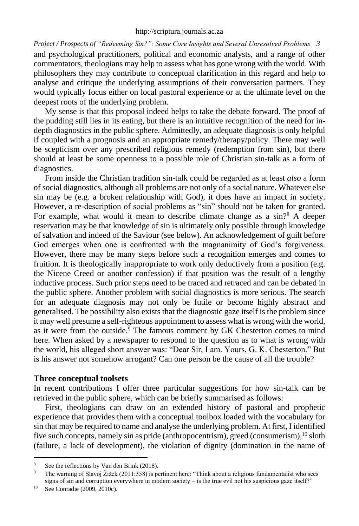and psychological practitioners, political and economic analysts, and a range of other commentators, theologians may help to assess what has gone wrong with the world. With philosophers they may contribute to conceptual clarification in this regard and help to analyse and critique the underlying assumptions of their conversation partners. They would typically focus either on local pastoral experience or at the ultimate level on the deepest roots of the underlying problem.

My sense is that this proposal indeed helps to take the debate forward. The proof of the pudding still lies in its eating, but there is an intuitive recognition of the need for indepth diagnostics in the public sphere. Admittedly, an adequate diagnosis is only helpful if coupled with a prognosis and an appropriate remedy/therapy/policy. There may well be scepticism over any prescribed religious remedy (redemption from sin), but there should at least be some openness to a possible role of Christian sin-talk as a form of diagnostics.

From inside the Christian tradition sin-talk could be regarded as at least *also* a form of social diagnostics, although all problems are not only of a social nature. Whatever else sin may be (e.g. a broken relationship with God), it does have an impact in society. However, a re-description of social problems as "sin" should not be taken for granted. For example, what would it mean to describe climate change as a sin?<sup>8</sup> A deeper reservation may be that knowledge of sin is ultimately only possible through knowledge of salvation and indeed of the Saviour (see below). An acknowledgement of guilt before God emerges when one is confronted with the magnanimity of God's forgiveness. However, there may be many steps before such a recognition emerges and comes to fruition. It is theologically inappropriate to work only deductively from a position (e.g. the Nicene Creed or another confession) if that position was the result of a lengthy inductive process. Such prior steps need to be traced and retraced and can be debated in the public sphere. Another problem with social diagnostics is more serious. The search for an adequate diagnosis may not only be futile or become highly abstract and generalised. The possibility also exists that the diagnostic gaze itself is the problem since it may well presume a self-righteous appointment to assess what is wrong with the world, as it were from the outside.<sup>9</sup> The famous comment by GK Chesterton comes to mind here. When asked by a newspaper to respond to the question as to what is wrong with the world, his alleged short answer was: "Dear Sir, I am. Yours, G. K. Chesterton." But is his answer not somehow arrogant? Can one person be the cause of all the trouble?

### **Three conceptual toolsets**

In recent contributions I offer three particular suggestions for how sin-talk can be retrieved in the public sphere, which can be briefly summarised as follows:

First, theologians can draw on an extended history of pastoral and prophetic experience that provides them with a conceptual toolbox loaded with the vocabulary for sin that may be required to name and analyse the underlying problem. At first, I identified five such concepts, namely sin as pride (anthropocentrism), greed (consumerism), <sup>10</sup> sloth (failure, a lack of development), the violation of dignity (domination in the name of

<sup>8</sup> See the reflections by Van den Brink (2018).

<sup>&</sup>lt;sup>9</sup> The warning of Slavoj Žižek (2011:358) is pertinent here: "Think about a religious fundamentalist who sees signs of sin and corruption everywhere in modern society – is the true evil not his suspicious gaze itself?"

<sup>10</sup> See Conradie (2009, 2010c).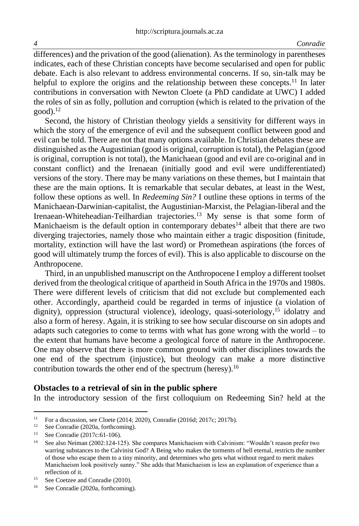differences) and the privation of the good (alienation). As the terminology in parentheses indicates, each of these Christian concepts have become secularised and open for public debate. Each is also relevant to address environmental concerns. If so, sin-talk may be helpful to explore the origins and the relationship between these concepts.<sup>11</sup> In later contributions in conversation with Newton Cloete (a PhD candidate at UWC) I added the roles of sin as folly, pollution and corruption (which is related to the privation of the  $good$ ). $^{12}$ 

Second, the history of Christian theology yields a sensitivity for different ways in which the story of the emergence of evil and the subsequent conflict between good and evil can be told. There are not that many options available. In Christian debates these are distinguished as the Augustinian (good is original, corruption is total), the Pelagian (good is original, corruption is not total), the Manichaean (good and evil are co-original and in constant conflict) and the Irenaean (initially good and evil were undifferentiated) versions of the story. There may be many variations on these themes, but I maintain that these are the main options. It is remarkable that secular debates, at least in the West, follow these options as well. In *Redeeming Sin?* I outline these options in terms of the Manichaean-Darwinian-capitalist, the Augustinian-Marxist, the Pelagian-liberal and the Irenaean-Whiteheadian-Teilhardian trajectories.<sup>13</sup> My sense is that some form of Manichaeism is the default option in contemporary debates<sup>14</sup> albeit that there are two diverging trajectories, namely those who maintain either a tragic disposition (finitude, mortality, extinction will have the last word) or Promethean aspirations (the forces of good will ultimately trump the forces of evil). This is also applicable to discourse on the Anthropocene.

Third, in an unpublished manuscript on the Anthropocene I employ a different toolset derived from the theological critique of apartheid in South Africa in the 1970s and 1980s. There were different levels of criticism that did not exclude but complemented each other. Accordingly, apartheid could be regarded in terms of injustice (a violation of dignity), oppression (structural violence), ideology, quasi-soteriology,<sup>15</sup> idolatry and also a form of heresy. Again, it is striking to see how secular discourse on sin adopts and adapts such categories to come to terms with what has gone wrong with the world – to the extent that humans have become a geological force of nature in the Anthropocene. One may observe that there is more common ground with other disciplines towards the one end of the spectrum (injustice), but theology can make a more distinctive contribution towards the other end of the spectrum (heresy).<sup>16</sup>

# **Obstacles to a retrieval of sin in the public sphere**

In the introductory session of the first colloquium on Redeeming Sin? held at the

<sup>&</sup>lt;sup>11</sup> For a discussion, see Cloete (2014; 2020), Conradie (2016d; 2017c; 2017b).

<sup>&</sup>lt;sup>12</sup> See Conradie (2020a, forthcoming).<br><sup>13</sup> See Conradie (2017a) 61, 106)

See Conradie (2017c:61-106).

<sup>&</sup>lt;sup>14</sup> See also Neiman (2002:124-125). She compares Manichaeism with Calvinism: "Wouldn't reason prefer two warring substances to the Calvinist God? A Being who makes the torments of hell eternal, restricts the number of those who escape them to a tiny minority, and determines who gets what without regard to merit makes Manichaeism look positively sunny." She adds that Manichaeism is less an explanation of experience than a reflection of it.

<sup>&</sup>lt;sup>15</sup> See Coetzee and Conradie (2010).

<sup>16</sup> See Conradie (2020a, forthcoming).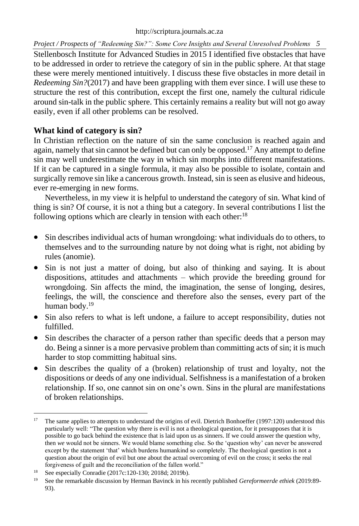Stellenbosch Institute for Advanced Studies in 2015 I identified five obstacles that have to be addressed in order to retrieve the category of sin in the public sphere. At that stage these were merely mentioned intuitively. I discuss these five obstacles in more detail in *Redeeming Sin?*(2017) and have been grappling with them ever since. I will use these to structure the rest of this contribution, except the first one, namely the cultural ridicule around sin-talk in the public sphere. This certainly remains a reality but will not go away easily, even if all other problems can be resolved.

# **What kind of category is sin?**

In Christian reflection on the nature of sin the same conclusion is reached again and again, namely that sin cannot be defined but can only be opposed.<sup>17</sup> Any attempt to define sin may well underestimate the way in which sin morphs into different manifestations. If it can be captured in a single formula, it may also be possible to isolate, contain and surgically remove sin like a cancerous growth. Instead, sin is seen as elusive and hideous, ever re-emerging in new forms.

Nevertheless, in my view it is helpful to understand the category of sin. What kind of thing is sin? Of course, it is not a thing but a category. In several contributions I list the following options which are clearly in tension with each other:<sup>18</sup>

- Sin describes individual acts of human wrongdoing: what individuals do to others, to themselves and to the surrounding nature by not doing what is right, not abiding by rules (anomie).
- Sin is not just a matter of doing, but also of thinking and saying. It is about dispositions, attitudes and attachments – which provide the breeding ground for wrongdoing. Sin affects the mind, the imagination, the sense of longing, desires, feelings, the will, the conscience and therefore also the senses, every part of the human body.<sup>19</sup>
- Sin also refers to what is left undone, a failure to accept responsibility, duties not fulfilled.
- Sin describes the character of a person rather than specific deeds that a person may do. Being a sinner is a more pervasive problem than committing acts of sin; it is much harder to stop committing habitual sins.
- Sin describes the quality of a (broken) relationship of trust and loyalty, not the dispositions or deeds of any one individual. Selfishness is a manifestation of a broken relationship. If so, one cannot sin on one's own. Sins in the plural are manifestations of broken relationships.

<sup>&</sup>lt;sup>17</sup> The same applies to attempts to understand the origins of evil. Dietrich Bonhoeffer (1997:120) understood this particularly well: "The question why there is evil is not a theological question, for it presupposes that it is possible to go back behind the existence that is laid upon us as sinners. If we could answer the question why, then *we* would not be sinners. We would blame something else. So the 'question why' can never be answered except by the statement 'that' which burdens humankind so completely. The theological question is not a question about the origin of evil but one about the actual overcoming of evil on the cross; it seeks the real forgiveness of guilt and the reconciliation of the fallen world."

<sup>18</sup> See especially Conradie (2017c:120-130; 2018d; 2019b).

<sup>19</sup> See the remarkable discussion by Herman Bavinck in his recently published *Gereformeerde ethiek* (2019:89- 93).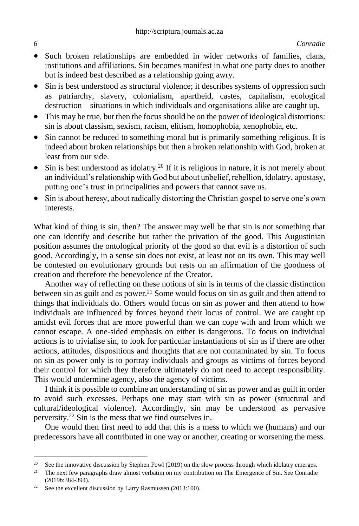- Such broken relationships are embedded in wider networks of families, clans, institutions and affiliations. Sin becomes manifest in what one party does to another but is indeed best described as a relationship going awry.
- Sin is best understood as structural violence; it describes systems of oppression such as patriarchy, slavery, colonialism, apartheid, castes, capitalism, ecological destruction – situations in which individuals and organisations alike are caught up.
- This may be true, but then the focus should be on the power of ideological distortions: sin is about classism, sexism, racism, elitism, homophobia, xenophobia, etc.
- Sin cannot be reduced to something moral but is primarily something religious. It is indeed about broken relationships but then a broken relationship with God, broken at least from our side.
- Sin is best understood as idolatry.<sup>20</sup> If it is religious in nature, it is not merely about an individual's relationship with God but about unbelief, rebellion, idolatry, apostasy, putting one's trust in principalities and powers that cannot save us.
- Sin is about heresy, about radically distorting the Christian gospel to serve one's own interests.

What kind of thing is sin, then? The answer may well be that sin is not something that one can identify and describe but rather the privation of the good. This Augustinian position assumes the ontological priority of the good so that evil is a distortion of such good. Accordingly, in a sense sin does not exist, at least not on its own. This may well be contested on evolutionary grounds but rests on an affirmation of the goodness of creation and therefore the benevolence of the Creator.

Another way of reflecting on these notions of sin is in terms of the classic distinction between sin as guilt and as power.<sup>21</sup> Some would focus on sin as guilt and then attend to things that individuals do. Others would focus on sin as power and then attend to how individuals are influenced by forces beyond their locus of control. We are caught up amidst evil forces that are more powerful than we can cope with and from which we cannot escape. A one-sided emphasis on either is dangerous. To focus on individual actions is to trivialise sin, to look for particular instantiations of sin as if there are other actions, attitudes, dispositions and thoughts that are not contaminated by sin. To focus on sin as power only is to portray individuals and groups as victims of forces beyond their control for which they therefore ultimately do not need to accept responsibility. This would undermine agency, also the agency of victims.

I think it is possible to combine an understanding of sin as power and as guilt in order to avoid such excesses. Perhaps one may start with sin as power (structural and cultural/ideological violence). Accordingly, sin may be understood as pervasive perversity.<sup>22</sup> Sin is the mess that we find ourselves in.

One would then first need to add that this is a mess to which we (humans) and our predecessors have all contributed in one way or another, creating or worsening the mess.

<sup>&</sup>lt;sup>20</sup> See the innovative discussion by Stephen Fowl (2019) on the slow process through which idolatry emerges.

<sup>&</sup>lt;sup>21</sup> The next few paragraphs draw almost verbatim on my contribution on The Emergence of Sin. See Conradie (2019b:384-394).

<sup>&</sup>lt;sup>22</sup> See the excellent discussion by Larry Rasmussen (2013:100).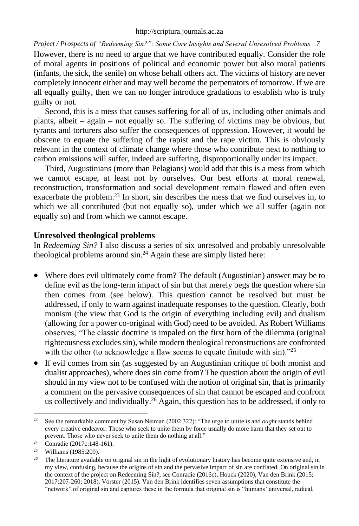However, there is no need to argue that we have contributed equally. Consider the role of moral agents in positions of political and economic power but also moral patients (infants, the sick, the senile) on whose behalf others act. The victims of history are never completely innocent either and may well become the perpetrators of tomorrow. If we are all equally guilty, then we can no longer introduce gradations to establish who is truly guilty or not.

Second, this is a mess that causes suffering for all of us, including other animals and plants, albeit – again – not equally so. The suffering of victims may be obvious, but tyrants and torturers also suffer the consequences of oppression. However, it would be obscene to equate the suffering of the rapist and the rape victim. This is obviously relevant in the context of climate change where those who contribute next to nothing to carbon emissions will suffer, indeed are suffering, disproportionally under its impact.

Third, Augustinians (more than Pelagians) would add that this is a mess from which we cannot escape, at least not by ourselves. Our best efforts at moral renewal, reconstruction, transformation and social development remain flawed and often even exacerbate the problem.<sup>23</sup> In short, sin describes the mess that we find ourselves in, to which we all contributed (but not equally so), under which we all suffer (again not equally so) and from which we cannot escape.

# **Unresolved theological problems**

In *Redeeming Sin?* I also discuss a series of six unresolved and probably unresolvable theological problems around  $\sin^{24}$  Again these are simply listed here:

- Where does evil ultimately come from? The default (Augustinian) answer may be to define evil as the long-term impact of sin but that merely begs the question where sin then comes from (see below). This question cannot be resolved but must be addressed, if only to warn against inadequate responses to the question. Clearly, both monism (the view that God is the origin of everything including evil) and dualism (allowing for a power co-original with God) need to be avoided. As Robert Williams observes, "The classic doctrine is impaled on the first horn of the dilemma (original righteousness excludes sin), while modern theological reconstructions are confronted with the other (to acknowledge a flaw seems to equate finitude with sin)."25
- If evil comes from sin (as suggested by an Augustinian critique of both monist and dualist approaches), where does sin come from? The question about the origin of evil should in my view not to be confused with the notion of original sin, that is primarily a comment on the pervasive consequences of sin that cannot be escaped and confront us collectively and individually.<sup>26</sup> Again, this question has to be addressed, if only to

<sup>23</sup> See the remarkable comment by Susan Neiman (2002:322): "The urge to unite *is* and *ought* stands behind every creative endeavor. Those who seek to unite them by force usually do more harm that they set out to prevent. Those who never seek to unite them do nothing at all."

<sup>&</sup>lt;sup>24</sup> Conradie (2017c:148-161).

<sup>25</sup> Williams (1985:209).

 $26$  The literature available on original sin in the light of evolutionary history has become quite extensive and, in my view, confusing, because the origins of sin and the pervasive impact of sin are conflated. On original sin in the context of the project on Redeeming Sin?, see Conradie (2016c), Houck (2020), Van den Brink (2015; 2017:207-260; 2018), Vorster (2015). Van den Brink identifies seven assumptions that constitute the "network" of original sin and captures these in the formula that original sin is "humans' universal, radical,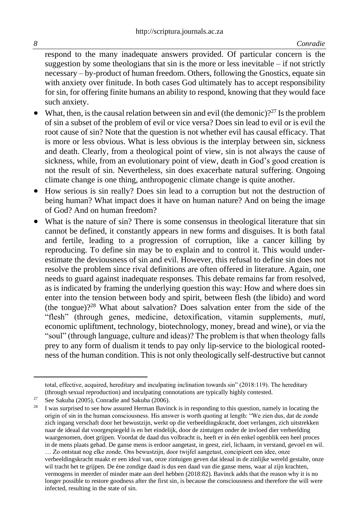respond to the many inadequate answers provided. Of particular concern is the suggestion by some theologians that  $\sin$  is the more or less inevitable – if not strictly necessary – by-product of human freedom. Others, following the Gnostics, equate sin with anxiety over finitude. In both cases God ultimately has to accept responsibility for sin, for offering finite humans an ability to respond, knowing that they would face such anxiety.

- What, then, is the causal relation between sin and evil (the demonic)?<sup>27</sup> Is the problem of sin a subset of the problem of evil or vice versa? Does sin lead to evil or is evil the root cause of sin? Note that the question is not whether evil has causal efficacy. That is more or less obvious. What is less obvious is the interplay between sin, sickness and death. Clearly, from a theological point of view, sin is not always the cause of sickness, while, from an evolutionary point of view, death in God's good creation is not the result of sin. Nevertheless, sin does exacerbate natural suffering. Ongoing climate change is one thing, anthropogenic climate change is quite another.
- How serious is sin really? Does sin lead to a corruption but not the destruction of being human? What impact does it have on human nature? And on being the image of God? And on human freedom?
- What is the nature of sin? There is some consensus in theological literature that sin cannot be defined, it constantly appears in new forms and disguises. It is both fatal and fertile, leading to a progression of corruption, like a cancer killing by reproducing. To define sin may be to explain and to control it. This would underestimate the deviousness of sin and evil. However, this refusal to define sin does not resolve the problem since rival definitions are often offered in literature. Again, one needs to guard against inadequate responses. This debate remains far from resolved, as is indicated by framing the underlying question this way: How and where does sin enter into the tension between body and spirit, between flesh (the libido) and word (the tongue)?<sup>28</sup> What about salvation? Does salvation enter from the side of the "flesh" (through genes, medicine, detoxification, vitamin supplements, *muti*, economic upliftment, technology, biotechnology, money, bread and wine), or via the "soul" (through language, culture and ideas)? The problem is that when theology falls prey to any form of dualism it tends to pay only lip-service to the biological rootedness of the human condition. This is not only theologically self-destructive but cannot

total, effective, acquired, hereditary and inculpating inclination towards sin" (2018:119). The hereditary (through sexual reproduction) and inculpating connotations are typically highly contested.

<sup>&</sup>lt;sup>27</sup> See Sakuba (2005), Conradie and Sakuba (2006).<br><sup>28</sup> June symptized to see how assumed Harmon Bayin

<sup>28</sup> I was surprised to see how assured Herman Bavinck is in responding to this question, namely in locating the origin of sin in the human consciousness. His answer is worth quoting at length: "We zien dus, dat de zonde zich ingang verschaft door het bewustzijn, werkt op die verbeeldingskracht, doet verlangen, zich uitstrekken naar de ideaal dat voorgespiegeld is en het eindelijk, door de zintuigen onder de invloed dier verbeelding waargenomen, doet grijpen. Voordat de daad dus volbracht is, heeft er in één enkel ogenblik een heel proces in de mens plaats gehad. De ganse mens is erdoor aangetast, in geest, ziel, lichaam, in verstand, gevoel en wil. … Zo ontstaat nog elke zonde. Ons bewustzijn, door twijfel aangetast, concipieert een idee, onze verbeeldingskracht maakt er een ideal van, onze zintuigen geven dat ideaal in de zinlijke wereld gestalte, onze wil tracht het te grijpen. De éne zondige daad is dus een daad van die ganse mens, waar al zijn krachten, vermogens in meerder of minder mate aan deel hebben (2018:82). Bavinck adds that the reason why it is no longer possible to restore goodness after the first sin, is because the consciousness and therefore the will were infected, resulting in the state of sin.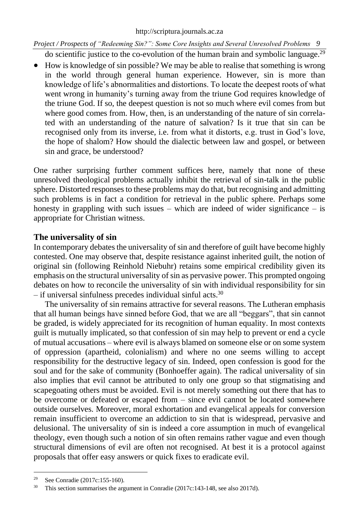#### [http://scriptura.journals.ac.za](http://scriptura.journals.ac.za/)

*Project / Prospects of "Redeeming Sin?": Some Core Insights and Several Unresolved Problems 9*

do scientific justice to the co-evolution of the human brain and symbolic language.<sup>29</sup>

• How is knowledge of sin possible? We may be able to realise that something is wrong in the world through general human experience. However, sin is more than knowledge of life's abnormalities and distortions. To locate the deepest roots of what went wrong in humanity's turning away from the triune God requires knowledge of the triune God. If so, the deepest question is not so much where evil comes from but where good comes from. How, then, is an understanding of the nature of sin correlated with an understanding of the nature of salvation? Is it true that sin can be recognised only from its inverse, i.e. from what it distorts, e.g. trust in God's love, the hope of shalom? How should the dialectic between law and gospel, or between sin and grace, be understood?

One rather surprising further comment suffices here, namely that none of these unresolved theological problems actually inhibit the retrieval of sin-talk in the public sphere. Distorted responses to these problems may do that, but recognising and admitting such problems is in fact a condition for retrieval in the public sphere. Perhaps some honesty in grappling with such issues – which are indeed of wider significance – is appropriate for Christian witness.

# **The universality of sin**

In contemporary debates the universality of sin and therefore of guilt have become highly contested. One may observe that, despite resistance against inherited guilt, the notion of original sin (following Reinhold Niebuhr) retains some empirical credibility given its emphasis on the structural universality of sin as pervasive power. This prompted ongoing debates on how to reconcile the universality of sin with individual responsibility for sin  $-$  if universal sinfulness precedes individual sinful acts.<sup>30</sup>

The universality of sin remains attractive for several reasons. The Lutheran emphasis that all human beings have sinned before God, that we are all "beggars", that sin cannot be graded, is widely appreciated for its recognition of human equality. In most contexts guilt is mutually implicated, so that confession of sin may help to prevent or end a cycle of mutual accusations – where evil is always blamed on someone else or on some system of oppression (apartheid, colonialism) and where no one seems willing to accept responsibility for the destructive legacy of sin. Indeed, open confession is good for the soul and for the sake of community (Bonhoeffer again). The radical universality of sin also implies that evil cannot be attributed to only one group so that stigmatising and scapegoating others must be avoided. Evil is not merely something out there that has to be overcome or defeated or escaped from – since evil cannot be located somewhere outside ourselves. Moreover, moral exhortation and evangelical appeals for conversion remain insufficient to overcome an addiction to sin that is widespread, pervasive and delusional. The universality of sin is indeed a core assumption in much of evangelical theology, even though such a notion of sin often remains rather vague and even though structural dimensions of evil are often not recognised. At best it is a protocol against proposals that offer easy answers or quick fixes to eradicate evil.

<sup>29</sup> See Conradie (2017c:155-160).

<sup>&</sup>lt;sup>30</sup> This section summarises the argument in Conradie (2017c:143-148, see also 2017d).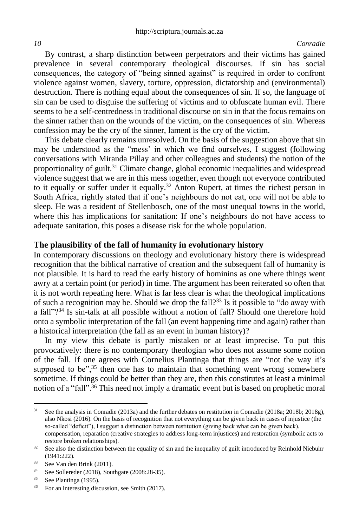By contrast, a sharp distinction between perpetrators and their victims has gained prevalence in several contemporary theological discourses. If sin has social consequences, the category of "being sinned against" is required in order to confront violence against women, slavery, torture, oppression, dictatorship and (environmental) destruction. There is nothing equal about the consequences of sin. If so, the language of sin can be used to disguise the suffering of victims and to obfuscate human evil. There seems to be a self-centredness in traditional discourse on sin in that the focus remains on the sinner rather than on the wounds of the victim, on the consequences of sin. Whereas confession may be the cry of the sinner, lament is the cry of the victim.

This debate clearly remains unresolved. On the basis of the suggestion above that sin may be understood as the "mess' in which we find ourselves, I suggest (following conversations with Miranda Pillay and other colleagues and students) the notion of the proportionality of guilt.<sup>31</sup> Climate change, global economic inequalities and widespread violence suggest that we are in this mess together, even though not everyone contributed to it equally or suffer under it equally.<sup>32</sup> Anton Rupert, at times the richest person in South Africa, rightly stated that if one's neighbours do not eat, one will not be able to sleep. He was a resident of Stellenbosch, one of the most unequal towns in the world, where this has implications for sanitation: If one's neighbours do not have access to adequate sanitation, this poses a disease risk for the whole population.

## **The plausibility of the fall of humanity in evolutionary history**

In contemporary discussions on theology and evolutionary history there is widespread recognition that the biblical narrative of creation and the subsequent fall of humanity is not plausible. It is hard to read the early history of hominins as one where things went awry at a certain point (or period) in time. The argument has been reiterated so often that it is not worth repeating here. What is far less clear is what the theological implications of such a recognition may be. Should we drop the fall?<sup>33</sup> Is it possible to "do away with" a fall"?<sup>34</sup> Is sin-talk at all possible without a notion of fall? Should one therefore hold onto a symbolic interpretation of the fall (an event happening time and again) rather than a historical interpretation (the fall as an event in human history)?

In my view this debate is partly mistaken or at least imprecise. To put this provocatively: there is no contemporary theologian who does not assume some notion of the fall. If one agrees with Cornelius Plantinga that things are "not the way it's supposed to be", $35$  then one has to maintain that something went wrong somewhere sometime. If things could be better than they are, then this constitutes at least a minimal notion of a "fall".<sup>36</sup> This need not imply a dramatic event but is based on prophetic moral

<sup>&</sup>lt;sup>31</sup> See the analysis in Conradie (2013a) and the further debates on restitution in Conradie (2018a; 2018b; 2018g), also Nkosi (2016). On the basis of recognition that not everything can be given back in cases of injustice (the so-called "deficit"), I suggest a distinction between restitution (giving back what can be given back), compensation, reparation (creative strategies to address long-term injustices) and restoration (symbolic acts to restore broken relationships).

 $32$  See also the distinction between the equality of sin and the inequality of guilt introduced by Reinhold Niebuhr (1941:222).

<sup>33</sup> See Van den Brink (2011).

<sup>34</sup> See Sollereder (2018), Southgate (2008:28-35).

 $35$  See Plantinga (1995).

<sup>36</sup> For an interesting discussion, see Smith (2017).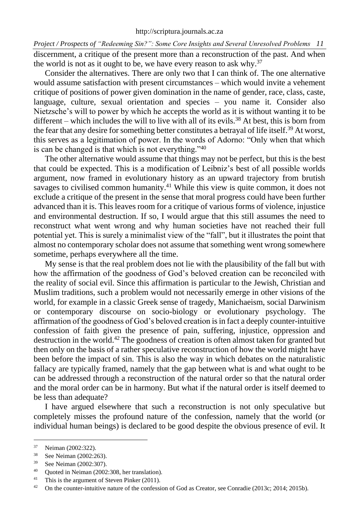*Project / Prospects of "Redeeming Sin?": Some Core Insights and Several Unresolved Problems 11* discernment, a critique of the present more than a reconstruction of the past. And when the world is not as it ought to be, we have every reason to ask why.<sup>37</sup>

Consider the alternatives. There are only two that I can think of. The one alternative would assume satisfaction with present circumstances – which would invite a vehement critique of positions of power given domination in the name of gender, race, class, caste, language, culture, sexual orientation and species – you name it. Consider also Nietzsche's will to power by which he accepts the world as it is without wanting it to be different – which includes the will to live with all of its evils.<sup>38</sup> At best, this is born from the fear that any desire for something better constitutes a betrayal of life itself.<sup>39</sup> At worst, this serves as a legitimation of power. In the words of Adorno: "Only when that which is can be changed is that which is not everything."<sup>40</sup>

The other alternative would assume that things may not be perfect, but this is the best that could be expected. This is a modification of Leibniz's best of all possible worlds argument, now framed in evolutionary history as an upward trajectory from brutish savages to civilised common humanity.<sup>41</sup> While this view is quite common, it does not exclude a critique of the present in the sense that moral progress could have been further advanced than it is. This leaves room for a critique of various forms of violence, injustice and environmental destruction. If so, I would argue that this still assumes the need to reconstruct what went wrong and why human societies have not reached their full potential yet. This is surely a minimalist view of the "fall", but it illustrates the point that almost no contemporary scholar does not assume that something went wrong somewhere sometime, perhaps everywhere all the time.

My sense is that the real problem does not lie with the plausibility of the fall but with how the affirmation of the goodness of God's beloved creation can be reconciled with the reality of social evil. Since this affirmation is particular to the Jewish, Christian and Muslim traditions, such a problem would not necessarily emerge in other visions of the world, for example in a classic Greek sense of tragedy, Manichaeism, social Darwinism or contemporary discourse on socio-biology or evolutionary psychology. The affirmation of the goodness of God's beloved creation is in fact a deeply counter-intuitive confession of faith given the presence of pain, suffering, injustice, oppression and destruction in the world.<sup>42</sup> The goodness of creation is often almost taken for granted but then only on the basis of a rather speculative reconstruction of how the world might have been before the impact of sin. This is also the way in which debates on the naturalistic fallacy are typically framed, namely that the gap between what is and what ought to be can be addressed through a reconstruction of the natural order so that the natural order and the moral order can be in harmony. But what if the natural order is itself deemed to be less than adequate?

I have argued elsewhere that such a reconstruction is not only speculative but completely misses the profound nature of the confession, namely that the world (or individual human beings) is declared to be good despite the obvious presence of evil. It

 $^{37}$  Neiman (2002:322).

See Neiman (2002:263).

<sup>&</sup>lt;sup>39</sup> See Neiman (2002:307).<br><sup>40</sup> Ouoted in Neiman (2002)

Quoted in Neiman (2002:308, her translation).

<sup>&</sup>lt;sup>41</sup> This is the argument of Steven Pinker (2011).

<sup>&</sup>lt;sup>42</sup> On the counter-intuitive nature of the confession of God as Creator, see Conradie (2013c; 2014; 2015b).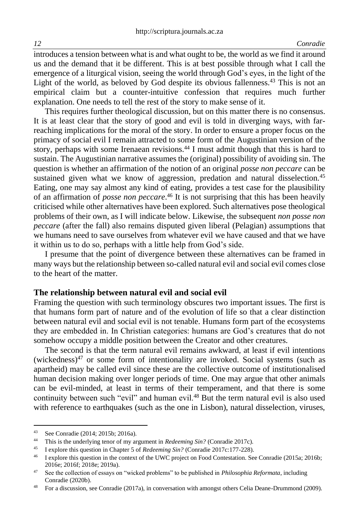introduces a tension between what is and what ought to be, the world as we find it around us and the demand that it be different. This is at best possible through what I call the emergence of a liturgical vision, seeing the world through God's eyes, in the light of the Light of the world, as beloved by God despite its obvious fallenness.<sup>43</sup> This is not an empirical claim but a counter-intuitive confession that requires much further explanation. One needs to tell the rest of the story to make sense of it.

This requires further theological discussion, but on this matter there is no consensus. It is at least clear that the story of good and evil is told in diverging ways, with farreaching implications for the moral of the story. In order to ensure a proper focus on the primacy of social evil I remain attracted to some form of the Augustinian version of the story, perhaps with some Irenaean revisions.<sup>44</sup> I must admit though that this is hard to sustain. The Augustinian narrative assumes the (original) possibility of avoiding sin. The question is whether an affirmation of the notion of an original *posse non peccare* can be sustained given what we know of aggression, predation and natural disselection.<sup>45</sup> Eating, one may say almost any kind of eating, provides a test case for the plausibility of an affirmation of *posse non peccare*. <sup>46</sup> It is not surprising that this has been heavily criticised while other alternatives have been explored. Such alternatives pose theological problems of their own, as I will indicate below. Likewise, the subsequent *non posse non peccare* (after the fall) also remains disputed given liberal (Pelagian) assumptions that we humans need to save ourselves from whatever evil we have caused and that we have it within us to do so, perhaps with a little help from God's side.

I presume that the point of divergence between these alternatives can be framed in many ways but the relationship between so-called natural evil and social evil comes close to the heart of the matter.

### **The relationship between natural evil and social evil**

Framing the question with such terminology obscures two important issues. The first is that humans form part of nature and of the evolution of life so that a clear distinction between natural evil and social evil is not tenable. Humans form part of the ecosystems they are embedded in. In Christian categories: humans are God's creatures that do not somehow occupy a middle position between the Creator and other creatures.

The second is that the term natural evil remains awkward, at least if evil intentions (wickedness) $47$  or some form of intentionality are invoked. Social systems (such as apartheid) may be called evil since these are the collective outcome of institutionalised human decision making over longer periods of time. One may argue that other animals can be evil-minded, at least in terms of their temperament, and that there is some continuity between such "evil" and human evil.<sup>48</sup> But the term natural evil is also used with reference to earthquakes (such as the one in Lisbon), natural disselection, viruses,

<sup>43</sup> See Conradie (2014; 2015b; 2016a).

<sup>44</sup> This is the underlying tenor of my argument in *Redeeming Sin?* (Conradie 2017c).<br><sup>45</sup> Laxplate this question in Chapter 5 of *Redeeming Sin?* (Conradie 2017c: 177-228)

<sup>45</sup> I explore this question in Chapter 5 of *Redeeming Sin?* (Conradie 2017c:177-228).

<sup>&</sup>lt;sup>46</sup> I explore this question in the context of the UWC project on Food Contestation. See Conradie (2015a; 2016b; 2016e; 2016f; 2018e; 2019a).

<sup>47</sup> See the collection of essays on "wicked problems" to be published in *Philosophia Reformata*, including Conradie (2020b).

<sup>48</sup> For a discussion, see Conradie (2017a), in conversation with amongst others Celia Deane-Drummond (2009).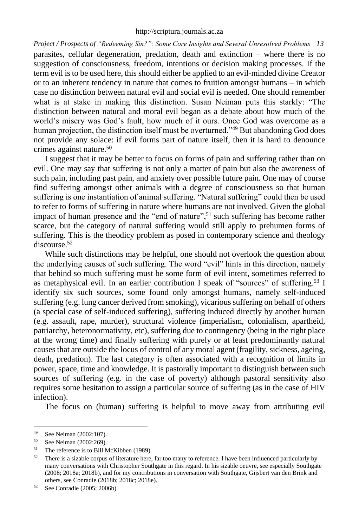#### [http://scriptura.journals.ac.za](http://scriptura.journals.ac.za/)

*Project / Prospects of "Redeeming Sin?": Some Core Insights and Several Unresolved Problems 13*

parasites, cellular degeneration, predation, death and extinction – where there is no suggestion of consciousness, freedom, intentions or decision making processes. If the term evil is to be used here, this should either be applied to an evil-minded divine Creator or to an inherent tendency in nature that comes to fruition amongst humans – in which case no distinction between natural evil and social evil is needed. One should remember what is at stake in making this distinction. Susan Neiman puts this starkly: "The distinction between natural and moral evil began as a debate about how much of the world's misery was God's fault, how much of it ours. Once God was overcome as a human projection, the distinction itself must be overturned."<sup>49</sup> But abandoning God does not provide any solace: if evil forms part of nature itself, then it is hard to denounce crimes against nature.<sup>50</sup>

I suggest that it may be better to focus on forms of pain and suffering rather than on evil. One may say that suffering is not only a matter of pain but also the awareness of such pain, including past pain, and anxiety over possible future pain. One may of course find suffering amongst other animals with a degree of consciousness so that human suffering is one instantiation of animal suffering. "Natural suffering" could then be used to refer to forms of suffering in nature where humans are not involved. Given the global impact of human presence and the "end of nature",<sup>51</sup> such suffering has become rather scarce, but the category of natural suffering would still apply to prehumen forms of suffering. This is the theodicy problem as posed in contemporary science and theology discourse.<sup>52</sup>

While such distinctions may be helpful, one should not overlook the question about the underlying causes of such suffering. The word "evil" hints in this direction, namely that behind so much suffering must be some form of evil intent, sometimes referred to as metaphysical evil. In an earlier contribution I speak of "sources" of suffering.<sup>53</sup> I identify six such sources, some found only amongst humans, namely self-induced suffering (e.g. lung cancer derived from smoking), vicarious suffering on behalf of others (a special case of self-induced suffering), suffering induced directly by another human (e.g. assault, rape, murder), structural violence (imperialism, colonialism, apartheid, patriarchy, heteronormativity, etc), suffering due to contingency (being in the right place at the wrong time) and finally suffering with purely or at least predominantly natural causes that are outside the locus of control of any moral agent (fragility, sickness, ageing, death, predation). The last category is often associated with a recognition of limits in power, space, time and knowledge. It is pastorally important to distinguish between such sources of suffering (e.g. in the case of poverty) although pastoral sensitivity also requires some hesitation to assign a particular source of suffering (as in the case of HIV infection).

The focus on (human) suffering is helpful to move away from attributing evil

<sup>&</sup>lt;sup>49</sup> See Neiman (2002:107).<br> $50 \text{ S} \approx \text{N} \cdot \text{S} = 2002.260$ 

See Neiman (2002:269).

<sup>&</sup>lt;sup>51</sup> The reference is to Bill McKibben (1989).

<sup>&</sup>lt;sup>52</sup> There is a sizable corpus of literature here, far too many to reference. I have been influenced particularly by many conversations with Christopher Southgate in this regard. In his sizable oeuvre, see especially Southgate (2008; 2018a; 2018b), and for my contributions in conversation with Southgate, Gijsbert van den Brink and others, see Conradie (2018b; 2018c; 2018e).

<sup>53</sup> See Conradie (2005; 2006b).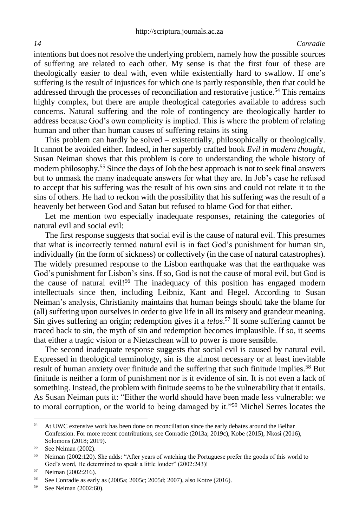intentions but does not resolve the underlying problem, namely how the possible sources of suffering are related to each other. My sense is that the first four of these are theologically easier to deal with, even while existentially hard to swallow. If one's suffering is the result of injustices for which one is partly responsible, then that could be addressed through the processes of reconciliation and restorative justice.<sup>54</sup> This remains highly complex, but there are ample theological categories available to address such concerns. Natural suffering and the role of contingency are theologically harder to address because God's own complicity is implied. This is where the problem of relating human and other than human causes of suffering retains its sting

This problem can hardly be solved – existentially, philosophically or theologically. It cannot be avoided either. Indeed, in her superbly crafted book *Evil in modern thought,* Susan Neiman shows that this problem is core to understanding the whole history of modern philosophy.<sup>55</sup> Since the days of Job the best approach is not to seek final answers but to unmask the many inadequate answers for what they are. In Job's case he refused to accept that his suffering was the result of his own sins and could not relate it to the sins of others. He had to reckon with the possibility that his suffering was the result of a heavenly bet between God and Satan but refused to blame God for that either.

Let me mention two especially inadequate responses, retaining the categories of natural evil and social evil:

The first response suggests that social evil is the cause of natural evil. This presumes that what is incorrectly termed natural evil is in fact God's punishment for human sin, individually (in the form of sickness) or collectively (in the case of natural catastrophes). The widely presumed response to the Lisbon earthquake was that the earthquake was God's punishment for Lisbon's sins. If so, God is not the cause of moral evil, but God is the cause of natural evil!<sup>56</sup> The inadequacy of this position has engaged modern intellectuals since then, including Leibniz, Kant and Hegel. According to Susan Neiman's analysis, Christianity maintains that human beings should take the blame for (all) suffering upon ourselves in order to give life in all its misery and grandeur meaning. Sin gives suffering an origin; redemption gives it a *telos*. <sup>57</sup> If some suffering cannot be traced back to sin, the myth of sin and redemption becomes implausible. If so, it seems that either a tragic vision or a Nietzschean will to power is more sensible.

The second inadequate response suggests that social evil is caused by natural evil. Expressed in theological terminology, sin is the almost necessary or at least inevitable result of human anxiety over finitude and the suffering that such finitude implies.<sup>58</sup> But finitude is neither a form of punishment nor is it evidence of sin. It is not even a lack of something. Instead, the problem with finitude seems to be the vulnerability that it entails. As Susan Neiman puts it: "Either the world should have been made less vulnerable: we to moral corruption, or the world to being damaged by it."<sup>59</sup> Michel Serres locates the

<sup>&</sup>lt;sup>54</sup> At UWC extensive work has been done on reconciliation since the early debates around the Belhar Confession. For more recent contributions, see Conradie (2013a; 2019c), Kobe (2015), Nkosi (2016), Solomons (2018; 2019).

<sup>55</sup> See Neiman (2002).

<sup>&</sup>lt;sup>56</sup> Neiman (2002:120). She adds: "After years of watching the Portuguese prefer the goods of this world to God's word, He determined to speak a little louder" (2002:243)!

<sup>57</sup> Neiman (2002:216).

<sup>58</sup> See Conradie as early as (2005a; 2005c; 2005d; 2007), also Kotze (2016).

<sup>59</sup> See Neiman (2002:60).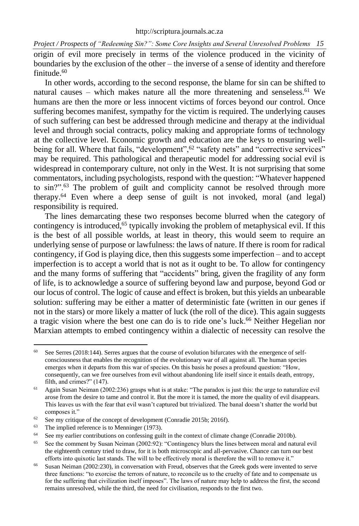*Project / Prospects of "Redeeming Sin?": Some Core Insights and Several Unresolved Problems 15* origin of evil more precisely in terms of the violence produced in the vicinity of boundaries by the exclusion of the other – the inverse of a sense of identity and therefore finitude.<sup>60</sup>

In other words, according to the second response, the blame for sin can be shifted to natural causes – which makes nature all the more threatening and senseless.<sup>61</sup> We humans are then the more or less innocent victims of forces beyond our control. Once suffering becomes manifest, sympathy for the victim is required. The underlying causes of such suffering can best be addressed through medicine and therapy at the individual level and through social contracts, policy making and appropriate forms of technology at the collective level. Economic growth and education are the keys to ensuring wellbeing for all. Where that fails, "development",<sup>62</sup> "safety nets" and "corrective services" may be required. This pathological and therapeutic model for addressing social evil is widespread in contemporary culture, not only in the West. It is not surprising that some commentators, including psychologists, respond with the question: "Whatever happened to sin?".<sup>63</sup> The problem of guilt and complicity cannot be resolved through more therapy.<sup>64</sup> Even where a deep sense of guilt is not invoked, moral (and legal) responsibility is required.

The lines demarcating these two responses become blurred when the category of contingency is introduced, <sup>65</sup> typically invoking the problem of metaphysical evil. If this is the best of all possible worlds, at least in theory, this would seem to require an underlying sense of purpose or lawfulness: the laws of nature. If there is room for radical contingency, if God is playing dice, then this suggests some imperfection – and to accept imperfection is to accept a world that is not as it ought to be. To allow for contingency and the many forms of suffering that "accidents" bring, given the fragility of any form of life, is to acknowledge a source of suffering beyond law and purpose, beyond God or our locus of control. The logic of cause and effect is broken, but this yields an unbearable solution: suffering may be either a matter of deterministic fate (written in our genes if not in the stars) or more likely a matter of luck (the roll of the dice). This again suggests a tragic vision where the best one can do is to ride one's luck.<sup>66</sup> Neither Hegelian nor Marxian attempts to embed contingency within a dialectic of necessity can resolve the

 $60$  See Serres (2018:144). Serres argues that the course of evolution bifurcates with the emergence of selfconsciousness that enables the recognition of the evolutionary war of all against all. The human species emerges when it departs from this war of species. On this basis he poses a profound question: "How, consequently, can we free ourselves from evil without abandoning life itself since it entails death, entropy, filth, and crimes?" (147).

 $61$  Again Susan Neiman (2002:236) grasps what is at stake: "The paradox is just this: the urge to naturalize evil arose from the desire to tame and control it. But the more it is tamed, the more the quality of evil disappears. This leaves us with the fear that evil wasn't captured but trivialized. The banal doesn't shatter the world but composes it."

 $62$  See my critique of the concept of development (Conradie 2015b; 2016f).

<sup>&</sup>lt;sup>63</sup> The implied reference is to Menninger (1973).

 $64$  See my earlier contributions on confessing guilt in the context of climate change (Conradie 2010b).

<sup>&</sup>lt;sup>65</sup> See the comment by Susan Neiman (2002:92): "Contingency blurs the lines between moral and natural evil the eighteenth century tried to draw, for it is both microscopic and all-pervasive. Chance can turn our best efforts into quixotic last stands. The will to be effectively moral is therefore the will to remove it."

<sup>&</sup>lt;sup>66</sup> Susan Neiman (2002:230), in conversation with Freud, observes that the Greek gods were invented to serve three functions: "to exorcise the terrors of nature, to reconcile us to the cruelty of fate and to compensate us for the suffering that civilization itself imposes". The laws of nature may help to address the first, the second remains unresolved, while the third, the need for civilisation, responds to the first two.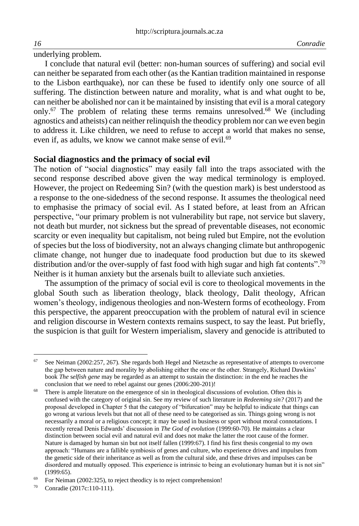underlying problem.

I conclude that natural evil (better: non-human sources of suffering) and social evil can neither be separated from each other (as the Kantian tradition maintained in response to the Lisbon earthquake), nor can these be fused to identify only one source of all suffering. The distinction between nature and morality, what is and what ought to be, can neither be abolished nor can it be maintained by insisting that evil is a moral category only.<sup>67</sup> The problem of relating these terms remains unresolved.<sup>68</sup> We (including agnostics and atheists) can neither relinquish the theodicy problem nor can we even begin to address it. Like children, we need to refuse to accept a world that makes no sense, even if, as adults, we know we cannot make sense of evil.<sup>69</sup>

## **Social diagnostics and the primacy of social evil**

The notion of "social diagnostics" may easily fall into the traps associated with the second response described above given the way medical terminology is employed. However, the project on Redeeming Sin? (with the question mark) is best understood as a response to the one-sidedness of the second response. It assumes the theological need to emphasise the primacy of social evil. As I stated before, at least from an African perspective, "our primary problem is not vulnerability but rape, not service but slavery, not death but murder, not sickness but the spread of preventable diseases, not economic scarcity or even inequality but capitalism, not being ruled but Empire, not the evolution of species but the loss of biodiversity, not an always changing climate but anthropogenic climate change, not hunger due to inadequate food production but due to its skewed distribution and/or the over-supply of fast food with high sugar and high fat contents".<sup>70</sup> Neither is it human anxiety but the arsenals built to alleviate such anxieties.

The assumption of the primacy of social evil is core to theological movements in the global South such as liberation theology, black theology, Dalit theology, African women's theology, indigenous theologies and non-Western forms of ecotheology. From this perspective, the apparent preoccupation with the problem of natural evil in science and religion discourse in Western contexts remains suspect, to say the least. Put briefly, the suspicion is that guilt for Western imperialism, slavery and genocide is attributed to

 $67$  See Neiman (2002:257, 267). She regards both Hegel and Nietzsche as representative of attempts to overcome the gap between nature and morality by abolishing either the one or the other. Strangely, Richard Dawkins' book *The* s*elfish gene* may be regarded as an attempt to sustain the distinction: in the end he reaches the conclusion that we need to rebel against our genes (2006:200-201)!

There is ample literature on the emergence of sin in theological discussions of evolution. Often this is confused with the category of original sin. See my review of such literature in *Redeeming sin?* (2017) and the proposal developed in Chapter 5 that the category of "bifurcation" may be helpful to indicate that things can go wrong at various levels but that not all of these need to be categorised as sin. Things going wrong is not necessarily a moral or a religious concept; it may be used in business or sport without moral connotations. I recently reread Denis Edwards' discussion in *The God of evolution* (1999:60-70). He maintains a clear distinction between social evil and natural evil and does not make the latter the root cause of the former. Nature is damaged by human sin but not itself fallen (1999:67). I find his first thesis congenial to my own approach: "Humans are a fallible symbiosis of genes and culture, who experience drives and impulses from the genetic side of their inheritance as well as from the cultural side, and these drives and impulses can be disordered and mutually opposed. This experience is intrinsic to being an evolutionary human but it is not sin" (1999:65).

 $69$  For Neiman (2002:325), to reject theodicy is to reject comprehension!

<sup>70</sup> Conradie (2017c:110-111).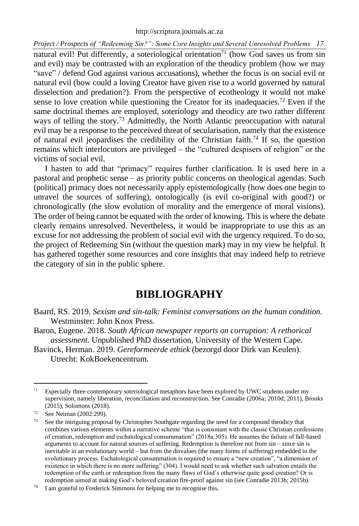*Project / Prospects of "Redeeming Sin?": Some Core Insights and Several Unresolved Problems 17* natural evil! Put differently, a soteriological orientation<sup>71</sup> (how God saves us from sin and evil) may be contrasted with an exploration of the theodicy problem (how we may "save" / defend God against various accusations), whether the focus is on social evil or natural evil (how could a loving Creator have given rise to a world governed by natural disselection and predation?). From the perspective of ecotheology it would not make sense to love creation while questioning the Creator for its inadequacies.<sup>72</sup> Even if the same doctrinal themes are employed, soteriology and theodicy are two rather different ways of telling the story.<sup>73</sup> Admittedly, the North Atlantic preoccupation with natural evil may be a response to the perceived threat of secularisation, namely that the existence of natural evil jeopardises the credibility of the Christian faith.<sup>74</sup> If so, the question remains which interlocutors are privileged – the "cultured despisers of religion" or the victims of social evil.

I hasten to add that "primacy" requires further clarification. It is used here in a pastoral and prophetic sense – as priority public concerns on theological agendas. Such (political) primacy does not necessarily apply epistemologically (how does one begin to unravel the sources of suffering), ontologically (is evil co-original with good?) or chronologically (the slow evolution of morality and the emergence of moral visions). The order of being cannot be equated with the order of knowing. This is where the debate clearly remains unresolved. Nevertheless, it would be inappropriate to use this as an excuse for not addressing the problem of social evil with the urgency required. To do so, the project of Redeeming Sin (without the question mark) may in my view be helpful. It has gathered together some resources and core insights that may indeed help to retrieve the category of sin in the public sphere.

# **BIBLIOGRAPHY**

Baard, RS. 2019. *Sexism and sin-talk: Feminist conversations on the human condition.* Westminster: John Knox Press.

Baron, Eugene. 2018. *South African newspaper reports on corruption: A rethorical assessment*. Unpublished PhD dissertation, University of the Western Cape.

Bavinck, Herman. 2019. *Gereformeerde ethiek* (bezorgd door Dirk van Keulen). Utrecht: KokBoekencentrum.

 $71$  Especially three contemporary soteriological metaphors have been explored by UWC students under my supervision, namely liberation, reconciliation and reconstruction. See Conradie (2006a; 2010d; 2011), Brooks (2015), Solomons (2018).

 $\frac{72}{73}$  See Neiman (2002:299).

See the intriguing proposal by Christopher Southgate regarding the need for a compound theodicy that combines various elements within a narrative scheme "that is consonant with the classic Christian confessions of creation, redemption and eschatological consummation" (2018a:305). He assumes the failure of fall-based arguments to account for natural sources of suffering. Redemption is therefore not from sin – since sin is inevitable in an evolutionary world – but from the disvalues (the many forms of suffering) embedded in the evolutionary process. Eschatological consummation is required to ensure a "new creation", "a dimension of existence in which there is no more suffering" (304). I would need to ask whether such salvation entails the redemption of the earth or redemption from the many flaws of God's otherwise quite good creation? Or is redemption aimed at making God's beloved creation fire-proof against sin (see Conradie 2013b; 2015b).

 $74$  I am grateful to Frederick Simmons for helping me to recognise this.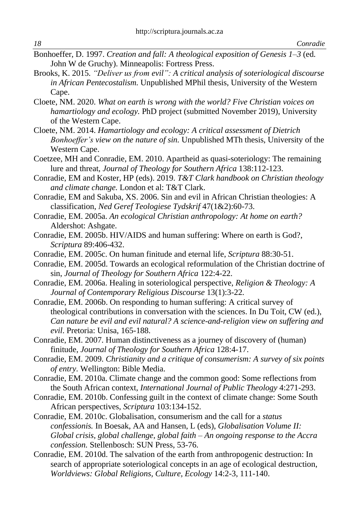- Bonhoeffer, D. 1997. *Creation and fall: A theological exposition of Genesis 1–3* (ed. John W de Gruchy). Minneapolis: Fortress Press.
- Brooks, K. 2015. *"Deliver us from evil": A critical analysis of soteriological discourse in African Pentecostalism.* Unpublished MPhil thesis, University of the Western Cape.
- Cloete, NM. 2020. *What on earth is wrong with the world? Five Christian voices on hamartiology and ecology.* PhD project (submitted November 2019), University of the Western Cape.
- Cloete, NM. 2014. *Hamartiology and ecology: A critical assessment of Dietrich Bonhoeffer's view on the nature of sin.* Unpublished MTh thesis, University of the Western Cape.
- Coetzee, MH and Conradie, EM. 2010. Apartheid as quasi-soteriology: The remaining lure and threat, *Journal of Theology for Southern Africa* 138:112-123.
- Conradie, EM and Koster, HP (eds). 2019. *T&T Clark handbook on Christian theology and climate change.* London et al: T&T Clark.
- Conradie, EM and Sakuba, XS. 2006. Sin and evil in African Christian theologies: A classification, *Ned Geref Teologiese Tydskrif* 47(1&2):60-73.
- Conradie, EM. 2005a. *An ecological Christian anthropology: At home on earth?* Aldershot: Ashgate.
- Conradie, EM. 2005b. HIV/AIDS and human suffering: Where on earth is God?, *Scriptura* 89:406-432.
- Conradie, EM. 2005c. On human finitude and eternal life, *Scriptura* 88:30-51.
- Conradie, EM. 2005d. Towards an ecological reformulation of the Christian doctrine of sin, *Journal of Theology for Southern Africa* 122:4-22.
- Conradie, EM. 2006a. Healing in soteriological perspective, *Religion & Theology: A Journal of Contemporary Religious Discourse* 13(1):3-22.
- Conradie, EM. 2006b. On responding to human suffering: A critical survey of theological contributions in conversation with the sciences. In Du Toit, CW (ed.), *Can nature be evil and evil natural? A science-and-religion view on suffering and evil*. Pretoria: Unisa, 165-188.
- Conradie, EM. 2007. Human distinctiveness as a journey of discovery of (human) finitude, *Journal of Theology for Southern Africa* 128:4-17.
- Conradie, EM. 2009. *Christianity and a critique of consumerism: A survey of six points of entry*. Wellington: Bible Media.
- Conradie, EM. 2010a. Climate change and the common good: Some reflections from the South African context, *International Journal of Public Theology* 4:271-293.
- Conradie, EM. 2010b. Confessing guilt in the context of climate change: Some South African perspectives, *Scriptura* 103:134-152.
- Conradie, EM. 2010c. Globalisation, consumerism and the call for a *status confessionis.* In Boesak, AA and Hansen, L (eds), *Globalisation Volume II: Global crisis, global challenge, global faith – An ongoing response to the Accra confession.* Stellenbosch: SUN Press, 53-76.
- Conradie, EM. 2010d. The salvation of the earth from anthropogenic destruction: In search of appropriate soteriological concepts in an age of ecological destruction, *Worldviews: Global Religions, Culture, Ecology* 14:2-3, 111-140.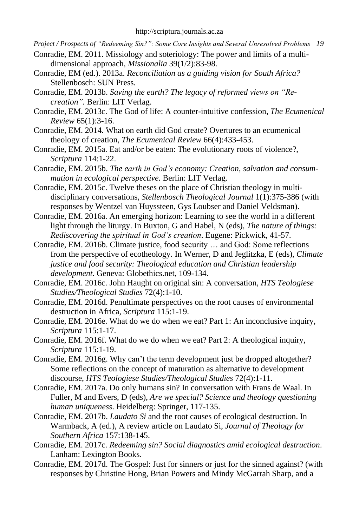- Conradie, EM. 2011. Missiology and soteriology: The power and limits of a multidimensional approach, *Missionalia* 39(1/2):83-98.
- Conradie, EM (ed.). 2013a. *Reconciliation as a guiding vision for South Africa?* Stellenbosch: SUN Press.
- Conradie, EM. 2013b. *Saving the earth? The legacy of reformed views on "Recreation".* Berlin: LIT Verlag.
- Conradie, EM. 2013c. The God of life: A counter-intuitive confession, *The Ecumenical Review* 65(1):3-16.
- Conradie, EM. 2014. What on earth did God create? Overtures to an ecumenical theology of creation, *The Ecumenical Review* 66(4):433-453.
- Conradie, EM. 2015a. Eat and/or be eaten: The evolutionary roots of violence?, *Scriptura* 114:1-22.
- Conradie, EM. 2015b. *The earth in God's economy: Creation, salvation and consummation in ecological perspective.* Berlin: LIT Verlag.
- Conradie, EM. 2015c. Twelve theses on the place of Christian theology in multidisciplinary conversations, *Stellenbosch Theological Journal* 1(1):375-386 (with responses by Wentzel van Huyssteen, Gys Loubser and Daniel Veldsman).
- Conradie, EM. 2016a. An emerging horizon: Learning to see the world in a different light through the liturgy. In Buxton, G and Habel, N (eds), *The nature of things: Rediscovering the spiritual in God's creation*. Eugene: Pickwick, 41-57.
- Conradie, EM. 2016b. Climate justice, food security … and God: Some reflections from the perspective of ecotheology. In Werner, D and Jeglitzka, E (eds), *Climate justice and food security: Theological education and Christian leadership development*. Geneva: Globethics.net, 109-134.
- Conradie, EM. 2016c. John Haught on original sin: A conversation, *HTS Teologiese Studies/Theological Studies* 72(4):1-10.
- Conradie, EM. 2016d. Penultimate perspectives on the root causes of environmental destruction in Africa, *Scriptura* 115:1-19.
- Conradie, EM. 2016e. What do we do when we eat? Part 1: An inconclusive inquiry, *Scriptura* 115:1-17.
- Conradie, EM. 2016f. What do we do when we eat? Part 2: A theological inquiry, *Scriptura* 115:1-19.
- Conradie, EM. 2016g. Why can't the term development just be dropped altogether? Some reflections on the concept of maturation as alternative to development discourse, *HTS Teologiese Studies/Theological Studies* 72(4):1-11.
- Conradie, EM. 2017a. Do only humans sin? In conversation with Frans de Waal. In Fuller, M and Evers, D (eds), *Are we special? Science and theology questioning human uniqueness*. Heidelberg: Springer, 117-135.
- Conradie, EM. 2017b. *Laudato Si* and the root causes of ecological destruction. In Warmback, A (ed.), A review article on Laudato Si, *Journal of Theology for Southern Africa* 157:138-145.
- Conradie, EM. 2017c. *Redeeming sin? Social diagnostics amid ecological destruction*. Lanham: Lexington Books.
- Conradie, EM. 2017d. [The Gospel: Just for sinners or just for the sinned against?](http://www.atthispoint.net/articles/the-gospel-just-for-sinners-or-just-for-the-sinned-against/293/) (with responses by Christine Hong, Brian Powers and Mindy McGarrah Sharp, and a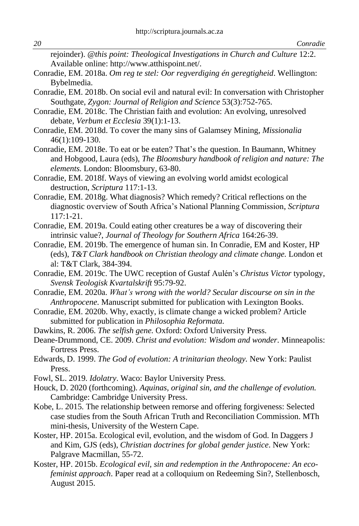rejoinder). *@this point: Theological Investigations in Church and Culture* 12:2. Available online: [http://www.atthispoint.net/.](http://www.atthispoint.net/)

- Conradie, EM. 2018a. *Om reg te stel: Oor regverdiging én geregtigheid*. Wellington: Bybelmedia.
- Conradie, EM. 2018b. On social evil and natural evil: In conversation with Christopher Southgate, *Zygon: Journal of Religion and Science* 53(3):752-765.
- Conradie, EM. 2018c. The Christian faith and evolution: An evolving, unresolved debate, *Verbum et Ecclesia* 39(1):1-13.
- Conradie, EM. 2018d. To cover the many sins of Galamsey Mining, *Missionalia* 46(1):109-130.
- Conradie, EM. 2018e. To eat or be eaten? That's the question. In Baumann, Whitney and Hobgood, Laura (eds), *The Bloomsbury handbook of religion and nature: The elements.* London: Bloomsbury, 63-80.
- Conradie, EM. 2018f. Ways of viewing an evolving world amidst ecological destruction, *Scriptura* 117:1-13.
- Conradie, EM. 2018g. What diagnosis? Which remedy? Critical reflections on the diagnostic overview of South Africa's National Planning Commission, *Scriptura* 117:1-21.
- Conradie, EM. 2019a. Could eating other creatures be a way of discovering their intrinsic value?, *Journal of Theology for Southern Africa* 164:26-39.
- Conradie, EM. 2019b. The emergence of human sin. In Conradie, EM and Koster, HP (eds), *T&T Clark handbook on Christian theology and climate change.* London et al: T&T Clark, 384-394.
- Conradie, EM. 2019c. The UWC reception of Gustaf Aulén's *Christus Victor* typology, *Svensk Teologisk Kvartalskrift* 95:79-92.
- Conradie, EM. 2020a. *What's wrong with the world? Secular discourse on sin in the Anthropocene.* Manuscript submitted for publication with Lexington Books.
- Conradie, EM. 2020b. Why, exactly, is climate change a wicked problem? Article submitted for publication in *Philosophia Reformata.*
- Dawkins, R. 2006. *The selfish gene.* Oxford: Oxford University Press.
- Deane-Drummond, CE. 2009. *Christ and evolution: Wisdom and wonder*. Minneapolis: Fortress Press.
- Edwards, D. 1999. *The God of evolution: A trinitarian theology.* New York: Paulist Press.
- Fowl, SL. 2019. *Idolatry*. Waco: Baylor University Press.
- Houck, D. 2020 (forthcoming). *Aquinas, original sin, and the challenge of evolution.*  Cambridge: Cambridge University Press.
- Kobe, L. 2015. The relationship between remorse and offering forgiveness: Selected case studies from the South African Truth and Reconciliation Commission. MTh mini-thesis, University of the Western Cape.
- Koster, HP. 2015a. Ecological evil, evolution, and the wisdom of God. In Daggers J and Kim, GJS (eds), *Christian doctrines for global gender justice*. New York: Palgrave Macmillan, 55-72.
- Koster, HP. 2015b. *Ecological evil, sin and redemption in the Anthropocene: An ecofeminist approach*. Paper read at a colloquium on Redeeming Sin?, Stellenbosch, August 2015.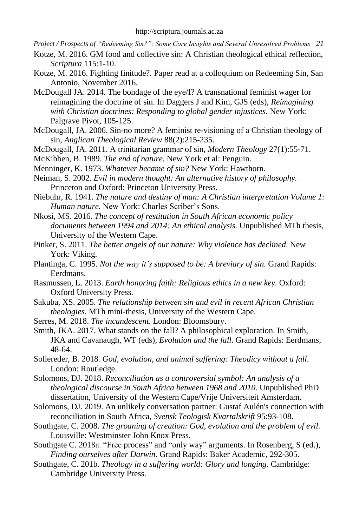- Kotze, M. 2016. GM food and collective sin: A Christian theological ethical reflection, *Scriptura* 115:1-10.
- Kotze, M. 2016. Fighting finitude?. Paper read at a colloquium on Redeeming Sin, San Antonio, November 2016.
- McDougall JA. 2014. The bondage of the eye/I? A transnational feminist wager for reimagining the doctrine of sin. In Daggers J and Kim, GJS (eds), *Reimagining with Christian doctrines: Responding to global gender injustices*. New York: Palgrave Pivot, 105-125.
- McDougall, JA. 2006. [Sin-no more? A feminist re-visioning of a Christian theology of](http://search.proquest.com/openview/77d1f2c75c0cbecf33f9462e0d2a163e/1?pq-origsite=gscholar&cbl=41101)  [sin,](http://search.proquest.com/openview/77d1f2c75c0cbecf33f9462e0d2a163e/1?pq-origsite=gscholar&cbl=41101) *[Anglican Theological Review](https://search.proquest.com/pubidlinkhandler/sng/pubtitle/Anglican+Theological+Review/$N/41101/OpenView/215267720/$B/333D542AD29944F7PQ/1;jsessionid=D7B21BBA5E948842A708CC20C048E756.i-0ab47645d399c803b)* 88(2):215-235.
- McDougall, JA. 2011. A trinitarian grammar of sin, *Modern Theology* 27(1):55-71.
- McKibben, B. 1989. *The end of nature.* New York et al: Penguin.
- Menninger, K. 1973. *Whatever became of sin?* New York: Hawthorn.
- Neiman, S. 2002. *Evil in modern thought: An alternative history of philosophy.* Princeton and Oxford: Princeton University Press.
- Niebuhr, R. 1941. *The nature and destiny of man: A Christian interpretation Volume 1: Human nature.* New York: Charles Scriber's Sons.
- Nkosi, MS. 2016. *The concept of restitution in South African economic policy documents between 1994 and 2014: An ethical analysis.* Unpublished MTh thesis, University of the Western Cape.
- Pinker, S. 2011. *The better angels of our nature: Why violence has declined*. New York: Viking.
- Plantinga, C. 1995. *Not the way it's supposed to be: A breviary of sin.* Grand Rapids: Eerdmans.
- Rasmussen, L. 2013. *Earth honoring faith: Religious ethics in a new key.* Oxford: Oxford University Press.
- Sakuba, XS. 2005. *The relationship between sin and evil in recent African Christian theologies.* MTh mini-thesis, University of the Western Cape.
- Serres, M. 2018. *The incandescent*. London: Bloomsbury.

Smith, JKA. 2017. What stands on the fall? A philosophical exploration. In Smith, JKA and Cavanaugh, WT (eds), *Evolution and the fall*. Grand Rapids: Eerdmans, 48-64.

Sollereder, B. 2018*. God, evolution, and animal suffering: Theodicy without a fall*. London: Routledge.

Solomons, DJ. 2018. *Reconciliation as a controversial symbol: An analysis of a theological discourse in South Africa between 1968 and 2010*. Unpublished PhD dissertation, University of the Western Cape/Vrije Universiteit Amsterdam.

- Solomons, DJ. 2019. An unlikely conversation partner: Gustaf Aulén's connection with reconciliation in South Africa, *Svensk Teologisk Kvartalskrift* 95:93-108.
- Southgate, C. 2008. *The groaning of creation: God, evolution and the problem of evil*. Louisville: Westminster John Knox Press.

Southgate C. 2018a. "Free process" and "only way" arguments. In Rosenberg, S (ed.), *Finding ourselves after Darwin*. Grand Rapids: Baker Academic*,* 292-305.

Southgate, C. 201b. *Theology in a suffering world: Glory and longing.* Cambridge: Cambridge University Press.